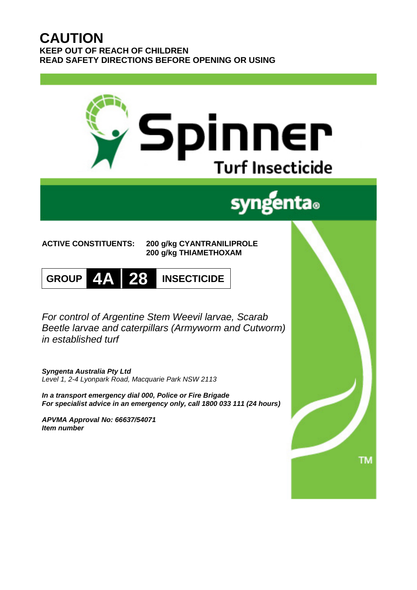# **CAUTION KEEP OUT OF REACH OF CHILDREN READ SAFETY DIRECTIONS BEFORE OPENING OR USING**

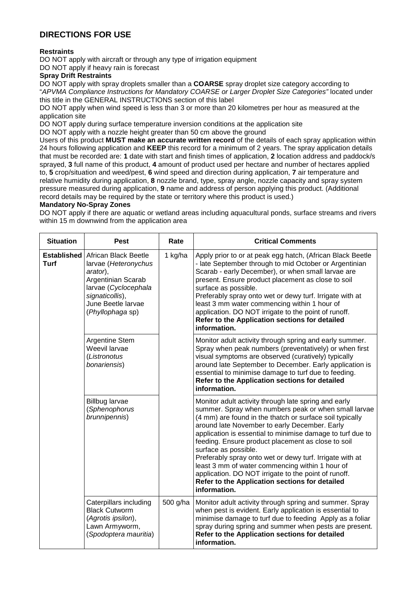## **DIRECTIONS FOR USE**

## **Restraints**

DO NOT apply with aircraft or through any type of irrigation equipment

DO NOT apply if heavy rain is forecast

## **Spray Drift Restraints**

DO NOT apply with spray droplets smaller than a **COARSE** spray droplet size category according to "*APVMA Compliance Instructions for Mandatory COARSE or Larger Droplet Size Categories"* located under this title in the GENERAL INSTRUCTIONS section of this label

DO NOT apply when wind speed is less than 3 or more than 20 kilometres per hour as measured at the application site

DO NOT apply during surface temperature inversion conditions at the application site

DO NOT apply with a nozzle height greater than 50 cm above the ground

Users of this product **MUST make an accurate written record** of the details of each spray application within 24 hours following application and **KEEP** this record for a minimum of 2 years. The spray application details that must be recorded are: **1** date with start and finish times of application, **2** location address and paddock/s sprayed, **3** full name of this product, **4** amount of product used per hectare and number of hectares applied to, **5** crop/situation and weed/pest, **6** wind speed and direction during application, **7** air temperature and relative humidity during application, **8** nozzle brand, type, spray angle, nozzle capacity and spray system pressure measured during application, **9** name and address of person applying this product. (Additional record details may be required by the state or territory where this product is used.)

## **Mandatory No-Spray Zones**

DO NOT apply if there are aquatic or wetland areas including aquacultural ponds, surface streams and rivers within 15 m downwind from the application area

| <b>Situation</b> | <b>Pest</b>                                                                                                                                                                            | Rate     | <b>Critical Comments</b>                                                                                                                                                                                                                                                                                                                                                                                                                                                                                                                                                                                       |
|------------------|----------------------------------------------------------------------------------------------------------------------------------------------------------------------------------------|----------|----------------------------------------------------------------------------------------------------------------------------------------------------------------------------------------------------------------------------------------------------------------------------------------------------------------------------------------------------------------------------------------------------------------------------------------------------------------------------------------------------------------------------------------------------------------------------------------------------------------|
| <b>Turf</b>      | <b>Established</b> African Black Beetle<br>larvae (Heteronychus<br>arator),<br>Argentinian Scarab<br>larvae (Cyclocephala<br>signaticollis),<br>June Beetle larvae<br>(Phyllophaga sp) | 1 kg/ha  | Apply prior to or at peak egg hatch, (African Black Beetle<br>- late September through to mid October or Argentinian<br>Scarab - early December), or when small larvae are<br>present. Ensure product placement as close to soil<br>surface as possible.<br>Preferably spray onto wet or dewy turf. Irrigate with at<br>least 3 mm water commencing within 1 hour of<br>application. DO NOT irrigate to the point of runoff.<br>Refer to the Application sections for detailed<br>information.                                                                                                                 |
|                  | Argentine Stem<br>Weevil larvae<br>(Listronotus<br>bonariensis)                                                                                                                        |          | Monitor adult activity through spring and early summer.<br>Spray when peak numbers (preventatively) or when first<br>visual symptoms are observed (curatively) typically<br>around late September to December. Early application is<br>essential to minimise damage to turf due to feeding.<br>Refer to the Application sections for detailed<br>information.                                                                                                                                                                                                                                                  |
|                  | <b>Billbug larvae</b><br>(Sphenophorus<br>brunnipennis)                                                                                                                                |          | Monitor adult activity through late spring and early<br>summer. Spray when numbers peak or when small larvae<br>(4 mm) are found in the thatch or surface soil typically<br>around late November to early December. Early<br>application is essential to minimise damage to turf due to<br>feeding. Ensure product placement as close to soil<br>surface as possible.<br>Preferably spray onto wet or dewy turf. Irrigate with at<br>least 3 mm of water commencing within 1 hour of<br>application. DO NOT irrigate to the point of runoff.<br>Refer to the Application sections for detailed<br>information. |
|                  | Caterpillars including<br><b>Black Cutworm</b><br>(Agrotis ipsilon),<br>Lawn Armyworm,<br>(Spodoptera mauritia)                                                                        | 500 g/ha | Monitor adult activity through spring and summer. Spray<br>when pest is evident. Early application is essential to<br>minimise damage to turf due to feeding Apply as a foliar<br>spray during spring and summer when pests are present.<br>Refer to the Application sections for detailed<br>information.                                                                                                                                                                                                                                                                                                     |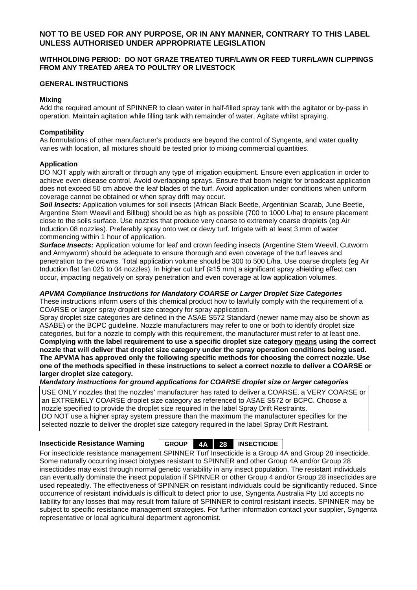## **NOT TO BE USED FOR ANY PURPOSE, OR IN ANY MANNER, CONTRARY TO THIS LABEL UNLESS AUTHORISED UNDER APPROPRIATE LEGISLATION**

#### **WITHHOLDING PERIOD: DO NOT GRAZE TREATED TURF/LAWN OR FEED TURF/LAWN CLIPPINGS FROM ANY TREATED AREA TO POULTRY OR LIVESTOCK**

#### **GENERAL INSTRUCTIONS**

#### **Mixing**

Add the required amount of SPINNER to clean water in half-filled spray tank with the agitator or by-pass in operation. Maintain agitation while filling tank with remainder of water. Agitate whilst spraying.

#### **Compatibility**

As formulations of other manufacturer's products are beyond the control of Syngenta, and water quality varies with location, all mixtures should be tested prior to mixing commercial quantities.

#### **Application**

DO NOT apply with aircraft or through any type of irrigation equipment. Ensure even application in order to achieve even disease control. Avoid overlapping sprays. Ensure that boom height for broadcast application does not exceed 50 cm above the leaf blades of the turf. Avoid application under conditions when uniform coverage cannot be obtained or when spray drift may occur.

*Soil Insects:* Application volumes for soil insects (African Black Beetle, Argentinian Scarab, June Beetle, Argentine Stem Weevil and Billbug) should be as high as possible (700 to 1000 L/ha) to ensure placement close to the soils surface. Use nozzles that produce very coarse to extremely coarse droplets (eg Air Induction 08 nozzles). Preferably spray onto wet or dewy turf. Irrigate with at least 3 mm of water commencing within 1 hour of application.

*Surface Insects:* Application volume for leaf and crown feeding insects (Argentine Stem Weevil, Cutworm and Armyworm) should be adequate to ensure thorough and even coverage of the turf leaves and penetration to the crowns. Total application volume should be 300 to 500 L/ha. Use coarse droplets (eg Air Induction flat fan 025 to 04 nozzles). In higher cut turf (≥15 mm) a significant spray shielding effect can occur, impacting negatively on spray penetration and even coverage at low application volumes.

#### *APVMA Compliance Instructions for Mandatory COARSE or Larger Droplet Size Categories*

These instructions inform users of this chemical product how to lawfully comply with the requirement of a COARSE or larger spray droplet size category for spray application.

Spray droplet size categories are defined in the ASAE S572 Standard (newer name may also be shown as ASABE) or the BCPC guideline. Nozzle manufacturers may refer to one or both to identify droplet size categories, but for a nozzle to comply with this requirement, the manufacturer must refer to at least one. **Complying with the label requirement to use a specific droplet size category means using the correct nozzle that will deliver that droplet size category under the spray operation conditions being used. The APVMA has approved only the following specific methods for choosing the correct nozzle. Use one of the methods specified in these instructions to select a correct nozzle to deliver a COARSE or larger droplet size category.** 

*Mandatory instructions for ground applications for COARSE droplet size or larger categories* 

USE ONLY nozzles that the nozzles' manufacturer has rated to deliver a COARSE, a VERY COARSE or an EXTREMELY COARSE droplet size category as referenced to ASAE S572 or BCPC. Choose a nozzle specified to provide the droplet size required in the label Spray Drift Restraints. DO NOT use a higher spray system pressure than the maximum the manufacturer specifies for the selected nozzle to deliver the droplet size category required in the label Spray Drift Restraint.

## **Insecticide Resistance Warning GROUP 4A 28 INSECTICIDE**

For insecticide resistance management SPINNER Turf Insecticide is a Group 4A and Group 28 insecticide. Some naturally occurring insect biotypes resistant to SPINNER and other Group 4A and/or Group 28 insecticides may exist through normal genetic variability in any insect population. The resistant individuals can eventually dominate the insect population if SPINNER or other Group 4 and/or Group 28 insecticides are used repeatedly. The effectiveness of SPINNER on resistant individuals could be significantly reduced. Since occurrence of resistant individuals is difficult to detect prior to use, Syngenta Australia Pty Ltd accepts no liability for any losses that may result from failure of SPINNER to control resistant insects. SPINNER may be subject to specific resistance management strategies. For further information contact your supplier, Syngenta representative or local agricultural department agronomist.